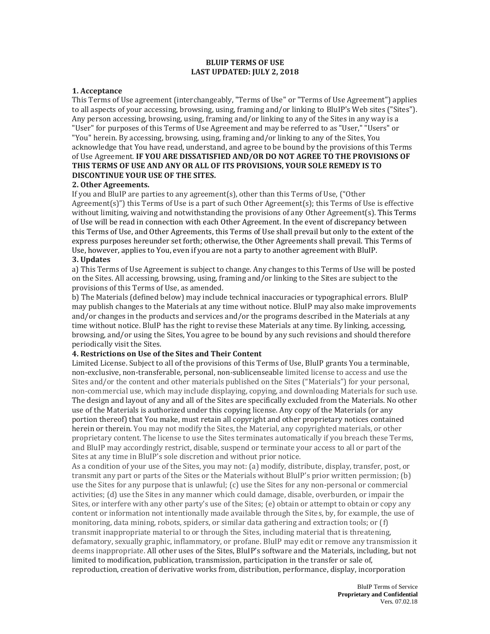### **BLUIP TERMS OF USE LAST UPDATED: JULY 2, 2018**

## **1. Acceptance**

This Terms of Use agreement (interchangeably, "Terms of Use" or "Terms of Use Agreement") applies to all aspects of your accessing, browsing, using, framing and/or linking to BluIP's Web sites ("Sites"). Any person accessing, browsing, using, framing and/or linking to any of the Sites in any way is a "User" for purposes of this Terms of Use Agreement and may be referred to as "User," "Users" or "You" herein. By accessing, browsing, using, framing and/or linking to any of the Sites, You acknowledge that You have read, understand, and agree to be bound by the provisions of this Terms of Use Agreement. **IF YOU ARE DISSATISFIED AND/OR DO NOT AGREE TO THE PROVISIONS OF THIS TERMS OF USE AND ANY OR ALL OF ITS PROVISIONS, YOUR SOLE REMEDY IS TO DISCONTINUE YOUR USE OF THE SITES.**

# **2. Other Agreements.**

If you and BluIP are parties to any agreement(s), other than this Terms of Use, ("Other Agreement(s)") this Terms of Use is a part of such Other Agreement(s); this Terms of Use is effective without limiting, waiving and notwithstanding the provisions of any Other Agreement(s). This Terms of Use will be read in connection with each Other Agreement. In the event of discrepancy between this Terms of Use, and Other Agreements, this Terms of Use shall prevail but only to the extent of the express purposes hereunder set forth; otherwise, the Other Agreements shall prevail. This Terms of Use, however, applies to You, even if you are not a party to another agreement with BluIP. **3. Updates**

a) This Terms of Use Agreement is subject to change. Any changes to this Terms of Use will be posted on the Sites. All accessing, browsing, using, framing and/or linking to the Sites are subject to the provisions of this Terms of Use, as amended.

b) The Materials (defined below) may include technical inaccuracies or typographical errors. BluIP may publish changes to the Materials at any time without notice. BluIP may also make improvements and/or changes in the products and services and/or the programs described in the Materials at any time without notice. BluIP has the right to revise these Materials at any time. By linking, accessing, browsing, and/or using the Sites, You agree to be bound by any such revisions and should therefore periodically visit the Sites.

## **4. Restrictions on Use of the Sites and Their Content**

Limited License. Subject to all of the provisions of this Terms of Use, BluIP grants You a terminable, non-exclusive, non-transferable, personal, non-sublicenseable limited license to access and use the Sites and/or the content and other materials published on the Sites ("Materials") for your personal, non-commercial use, which may include displaying, copying, and downloading Materials for such use. The design and layout of any and all of the Sites are specifically excluded from the Materials. No other use of the Materials is authorized under this copying license. Any copy of the Materials (or any portion thereof) that You make, must retain all copyright and other proprietary notices contained herein or therein. You may not modify the Sites, the Material, any copyrighted materials, or other proprietary content. The license to use the Sites terminates automatically if you breach these Terms, and BluIP may accordingly restrict, disable, suspend or terminate your access to all or part of the Sites at any time in BluIP's sole discretion and without prior notice.

As a condition of your use of the Sites, you may not: (a) modify, distribute, display, transfer, post, or transmit any part or parts of the Sites or the Materials without BluIP's prior written permission; (b) use the Sites for any purpose that is unlawful; (c) use the Sites for any non-personal or commercial activities; (d) use the Sites in any manner which could damage, disable, overburden, or impair the Sites, or interfere with any other party's use of the Sites; (e) obtain or attempt to obtain or copy any content or information not intentionally made available through the Sites, by, for example, the use of monitoring, data mining, robots, spiders, or similar data gathering and extraction tools; or (f) transmit inappropriate material to or through the Sites, including material that is threatening, defamatory, sexually graphic, inflammatory, or profane. BluIP may edit or remove any transmission it deems inappropriate. All other uses of the Sites, BluIP's software and the Materials, including, but not limited to modification, publication, transmission, participation in the transfer or sale of, reproduction, creation of derivative works from, distribution, performance, display, incorporation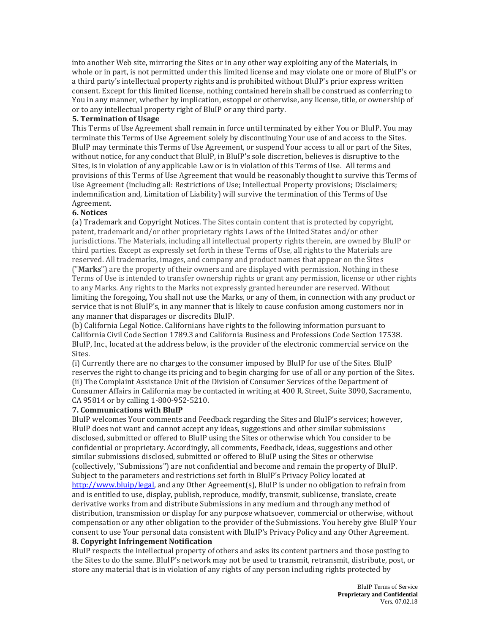into another Web site, mirroring the Sites or in any other way exploiting any of the Materials, in whole or in part, is not permitted under this limited license and may violate one or more of BluIP's or a third party's intellectual property rights and is prohibited without BluIP's prior express written consent. Except for this limited license, nothing contained herein shall be construed as conferring to You in any manner, whether by implication, estoppel or otherwise, any license, title, or ownership of or to any intellectual property right of BluIP or any third party.

# **5. Termination of Usage**

This Terms of Use Agreement shall remain in force until terminated by either You or BluIP. You may terminate this Terms of Use Agreement solely by discontinuing Your use of and access to the Sites. BluIP may terminate this Terms of Use Agreement, or suspend Your access to all or part of the Sites, without notice, for any conduct that BluIP, in BluIP's sole discretion, believes is disruptive to the Sites, is in violation of any applicable Law or is in violation of this Terms of Use. All terms and provisions of this Terms of Use Agreement that would be reasonably thought to survive this Terms of Use Agreement (including all: Restrictions of Use; Intellectual Property provisions; Disclaimers; indemnification and, Limitation of Liability) will survive the termination of this Terms of Use Agreement.

## **6. Notices**

(a) Trademark and Copyright Notices. The Sites contain content that is protected by copyright, patent, trademark and/or other proprietary rights Laws of the United States and/or other jurisdictions. The Materials, including all intellectual property rights therein, are owned by BluIP or third parties. Except as expressly set forth in these Terms of Use, all rights to the Materials are reserved. All trademarks, images, and company and product names that appear on the Sites ("**Marks**") are the property of their owners and are displayed with permission. Nothing in these Terms of Use is intended to transfer ownership rights or grant any permission, license or other rights to any Marks. Any rights to the Marks not expressly granted hereunder are reserved. Without limiting the foregoing, You shall not use the Marks, or any of them, in connection with any product or service that is not BluIP's, in any manner that is likely to cause confusion among customers nor in any manner that disparages or discredits BluIP.

(b) California Legal Notice. Californians have rights to the following information pursuant to California Civil Code Section 1789.3 and California Business and Professions Code Section 17538. BluIP, Inc., located at the address below, is the provider of the electronic commercial service on the Sites.

(i) Currently there are no charges to the consumer imposed by BluIP for use of the Sites. BluIP reserves the right to change its pricing and to begin charging for use of all or any portion of the Sites. (ii) The Complaint Assistance Unit of the Division of Consumer Services of the Department of Consumer Affairs in California may be contacted in writing at 400 R. Street, Suite 3090, Sacramento, CA 95814 or by calling 1-800-952-5210.

### **7. Communications with BluIP**

BluIP welcomes Your comments and Feedback regarding the Sites and BluIP's services; however, BluIP does not want and cannot accept any ideas, suggestions and other similar submissions disclosed, submitted or offered to BluIP using the Sites or otherwise which You consider to be confidential or proprietary. Accordingly, all comments, Feedback, ideas, suggestions and other similar submissions disclosed, submitted or offered to BluIP using the Sites or otherwise (collectively, "Submissions") are not confidential and become and remain the property of BluIP. Subject to the parameters and restrictions set forth in BluIP's Privacy Policy located at [http://www.bluip/legal,](http://www.bluip/legal) and any Other Agreement(s), BluIP is under no obligation to refrain from and is entitled to use, display, publish, reproduce, modify, transmit, sublicense, translate, create derivative works from and distribute Submissions in any medium and through any method of distribution, transmission or display for any purpose whatsoever, commercial or otherwise, without compensation or any other obligation to the provider of the Submissions. You hereby give BluIP Your consent to use Your personal data consistent with BluIP's Privacy Policy and any Other Agreement. **8. Copyright Infringement Notification**

BluIP respects the intellectual property of others and asks its content partners and those posting to the Sites to do the same. BluIP's network may not be used to transmit, retransmit, distribute, post, or store any material that is in violation of any rights of any person including rights protected by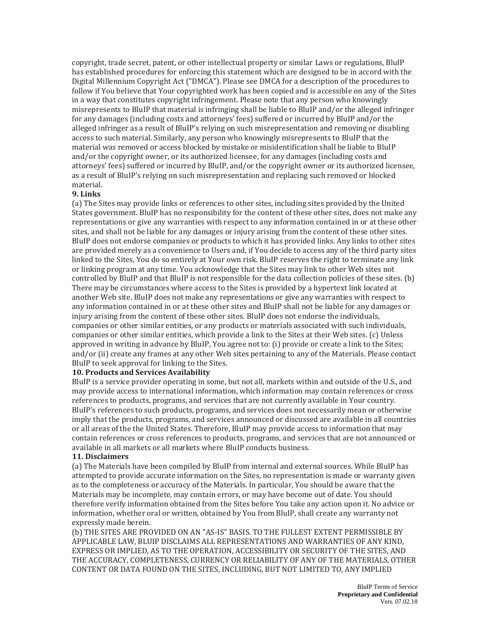copyright, trade secret, patent, or other intellectual property or similar Laws or regulations, BluIP has established procedures for enforcing this statement which are designed to be in accord with the Digital Millennium Copyright Act ("DMCA"). Please see DMCA for a description of the procedures to follow if You believe that Your copyrighted work has been copied and is accessible on any of the Sites in a way that constitutes copyright infringement. Please note that any person who knowingly misrepresents to BluIP that material is infringing shall be liable to BluIP and/or the alleged infringer for any damages (including costs and attorneys' fees) suffered or incurred by BluIP and/or the alleged infringer as a result of BluIP's relying on such misrepresentation and removing or disabling access to such material. Similarly, any person who knowingly misrepresents to BluIP that the material was removed or access blocked by mistake or misidentification shall be liable to BluIP and/or the copyright owner, or its authorized licensee, for any damages (including costs and attorneys' fees) suffered or incurred by BluIP, and/or the copyright owner or its authorized licensee, as a result of BluIP's relying on such misrepresentation and replacing such removed or blocked material.

#### **9. Links**

(a) The Sites may provide links or references to other sites, including sites provided by the United States government. BluIP has no responsibility for the content of these other sites, does not make any representations or give any warranties with respect to any information contained in or at these other sites, and shall not be liable for any damages or injury arising from the content of these other sites. BluIP does not endorse companies or products to which it has provided links. Any links to other sites are provided merely as a convenience to Users and, if You decide to access any of the third party sites linked to the Sites, You do so entirely at Your own risk. BluIP reserves the right to terminate any link or linking program at any time. You acknowledge that the Sites may link to other Web sites not controlled by BluIP and that BluIP is not responsible for the data collection policies of these sites. (b) There may be circumstances where access to the Sites is provided by a hypertext link located at another Web site. BluIP does not make any representations or give any warranties with respect to any information contained in or at these other sites and BluIP shall not be liable for any damages or injury arising from the content of these other sites. BluIP does not endorse the individuals, companies or other similar entities, or any products or materials associated with such individuals, companies or other similar entities, which provide a link to the Sites at their Web sites. (c) Unless approved in writing in advance by BluIP, You agree not to: (i) provide or create a link to the Sites; and/or (ii) create any frames at any other Web sites pertaining to any of the Materials. Please contact BluIP to seek approval for linking to the Sites.

#### **10. Products and Services Availability**

BluIP is a service provider operating in some, but not all, markets within and outside of the U.S., and may provide access to international information, which information may contain references or cross references to products, programs, and services that are not currently available in Your country. BluIP's references to such products, programs, and services does not necessarily mean or otherwise imply that the products, programs, and services announced or discussed are available in all countries or all areas of the the United States. Therefore, BluIP may provide access to information that may contain references or cross references to products, programs, and services that are not announced or available in all markets or all markets where BluIP conducts business.

## **11. Disclaimers**

(a) The Materials have been compiled by BluIP from internal and external sources. While BluIP has attempted to provide accurate information on the Sites, no representation is made or warranty given as to the completeness or accuracy of the Materials. In particular, You should be aware that the Materials may be incomplete, may contain errors, or may have become out of date. You should therefore verify information obtained from the Sites before You take any action upon it. No advice or information, whether oral or written, obtained by You from BluIP, shall create any warranty not expressly made herein.

(b) THE SITES ARE PROVIDED ON AN "AS-IS" BASIS. TO THE FULLEST EXTENT PERMISSIBLE BY APPLICABLE LAW, BLUIP DISCLAIMS ALL REPRESENTATIONS AND WARRANTIES OF ANY KIND, EXPRESS OR IMPLIED, AS TO THE OPERATION, ACCESSIBILITY OR SECURITY OF THE SITES, AND THE ACCURACY, COMPLETENESS, CURRENCY OR RELIABILITY OF ANY OF THE MATERIALS, OTHER CONTENT OR DATA FOUND ON THE SITES, INCLUDING, BUT NOT LIMITED TO, ANY IMPLIED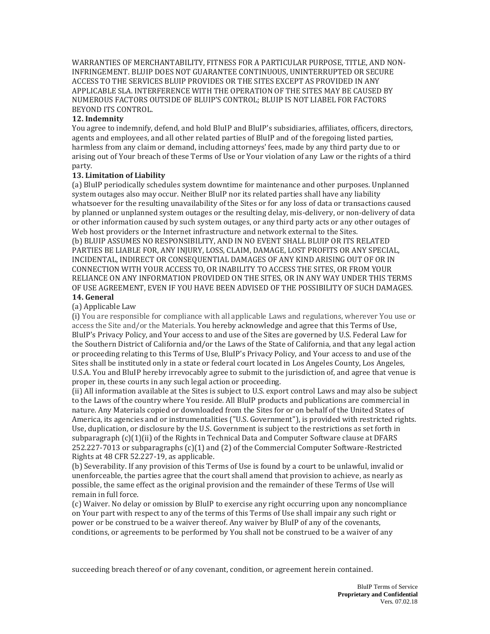WARRANTIES OF MERCHANTABILITY, FITNESS FOR A PARTICULAR PURPOSE, TITLE, AND NON-INFRINGEMENT. BLUIP DOES NOT GUARANTEE CONTINUOUS, UNINTERRUPTED OR SECURE ACCESS TO THE SERVICES BLUIP PROVIDES OR THE SITES EXCEPT AS PROVIDED IN ANY APPLICABLE SLA. INTERFERENCE WITH THE OPERATION OF THE SITES MAY BE CAUSED BY NUMEROUS FACTORS OUTSIDE OF BLUIP'S CONTROL; BLUIP IS NOT LIABEL FOR FACTORS BEYOND ITS CONTROL.

# **12. Indemnity**

You agree to indemnify, defend, and hold BluIP and BluIP's subsidiaries, affiliates, officers, directors, agents and employees, and all other related parties of BluIP and of the foregoing listed parties, harmless from any claim or demand, including attorneys' fees, made by any third party due to or arising out of Your breach of these Terms of Use or Your violation of any Law or the rights of a third party.

# **13. Limitation of Liability**

(a) BluIP periodically schedules system downtime for maintenance and other purposes. Unplanned system outages also may occur. Neither BluIP nor its related parties shall have any liability whatsoever for the resulting unavailability of the Sites or for any loss of data or transactions caused by planned or unplanned system outages or the resulting delay, mis-delivery, or non-delivery of data or other information caused by such system outages, or any third party acts or any other outages of Web host providers or the Internet infrastructure and network external to the Sites. (b) BLUIP ASSUMES NO RESPONSIBILITY, AND IN NO EVENT SHALL BLUIP OR ITS RELATED PARTIES BE LIABLE FOR, ANY INJURY, LOSS, CLAIM, DAMAGE, LOST PROFITS OR ANY SPECIAL, INCIDENTAL, INDIRECT OR CONSEQUENTIAL DAMAGES OF ANY KIND ARISING OUT OF OR IN CONNECTION WITH YOUR ACCESS TO, OR INABILITY TO ACCESS THE SITES, OR FROM YOUR RELIANCE ON ANY INFORMATION PROVIDED ON THE SITES, OR IN ANY WAY UNDER THIS TERMS OF USE AGREEMENT, EVEN IF YOU HAVE BEEN ADVISED OF THE POSSIBILITY OF SUCH DAMAGES.

# **14. General**

# (a) Applicable Law

(i) You are responsible for compliance with all applicable Laws and regulations, wherever You use or access the Site and/or the Materials. You hereby acknowledge and agree that this Terms of Use, BluIP's Privacy Policy, and Your access to and use of the Sites are governed by U.S. Federal Law for the Southern District of California and/or the Laws of the State of California, and that any legal action or proceeding relating to this Terms of Use, BluIP's Privacy Policy, and Your access to and use of the Sites shall be instituted only in a state or federal court located in Los Angeles County, Los Angeles, U.S.A. You and BluIP hereby irrevocably agree to submit to the jurisdiction of, and agree that venue is proper in, these courts in any such legal action or proceeding.

(ii) All information available at the Sites is subject to U.S. export control Laws and may also be subject to the Laws of the country where You reside. All BluIP products and publications are commercial in nature. Any Materials copied or downloaded from the Sites for or on behalf of the United States of America, its agencies and or instrumentalities ("U.S. Government"), is provided with restricted rights. Use, duplication, or disclosure by the U.S. Government is subject to the restrictions as set forth in subparagraph (c)(1)(ii) of the Rights in Technical Data and Computer Software clause at DFARS 252.227-7013 or subparagraphs (c)(1) and (2) of the Commercial Computer Software-Restricted Rights at 48 CFR 52.227-19, as applicable.

(b) Severability. If any provision of this Terms of Use is found by a court to be unlawful, invalid or unenforceable, the parties agree that the court shall amend that provision to achieve, as nearly as possible, the same effect as the original provision and the remainder of these Terms of Use will remain in full force.

(c) Waiver. No delay or omission by BluIP to exercise any right occurring upon any noncompliance on Your part with respect to any of the terms of this Terms of Use shall impair any such right or power or be construed to be a waiver thereof. Any waiver by BluIP of any of the covenants, conditions, or agreements to be performed by You shall not be construed to be a waiver of any

succeeding breach thereof or of any covenant, condition, or agreement herein contained.